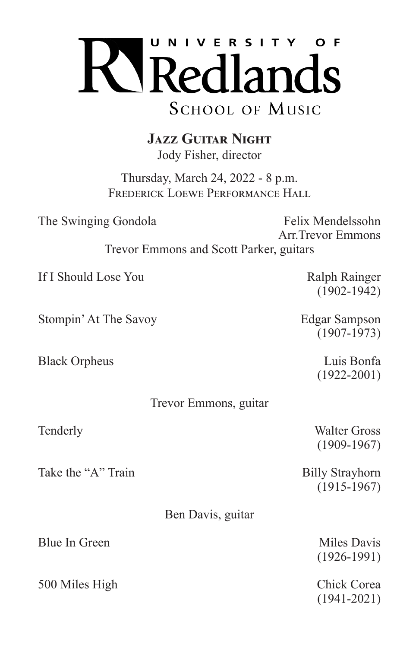

**Jazz Guitar Night** Jody Fisher, director

Thursday, March 24, 2022 - 8 p.m. FREDERICK LOEWE PERFORMANCE HALL

The Swinging Gondola Felix Mendelssohn Arr.Trevor Emmons Trevor Emmons and Scott Parker, guitars If I Should Lose You Ralph Rainger (1902-1942) Stompin' At The Savoy **Edgar Sampson** (1907-1973) Black Orpheus Luis Bonfa (1922-2001) Trevor Emmons, guitar Tenderly Walter Gross (1909-1967) Take the "A" Train Billy Strayhorn (1915-1967) Ben Davis, guitar Blue In Green Miles Davis (1926-1991) 500 Miles High Chick Corea (1941-2021)